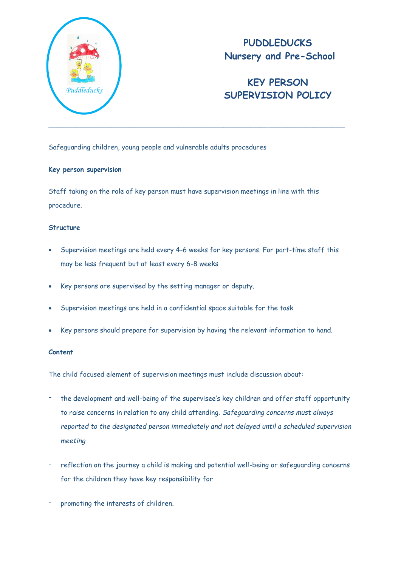

# **PUDDLEDUCKS Nursery and Pre-School**

# **KEY PERSON SUPERVISION POLICY** *Puddleducks*

Safeguarding children, young people and vulnerable adults procedures

### **Key person supervision**

Staff taking on the role of key person must have supervision meetings in line with this procedure.

# **Structure**

- Supervision meetings are held every 4-6 weeks for key persons. For part-time staff this may be less frequent but at least every 6-8 weeks
- Key persons are supervised by the setting manager or deputy.
- Supervision meetings are held in a confidential space suitable for the task
- Key persons should prepare for supervision by having the relevant information to hand.

# **Content**

The child focused element of supervision meetings must include discussion about:

- the development and well-being of the supervisee's key children and offer staff opportunity to raise concerns in relation to any child attending. *Safeguarding concerns must always reported to the designated person immediately and not delayed until a scheduled supervision meeting*
- reflection on the journey a child is making and potential well-being or safeguarding concerns for the children they have key responsibility for
- promoting the interests of children.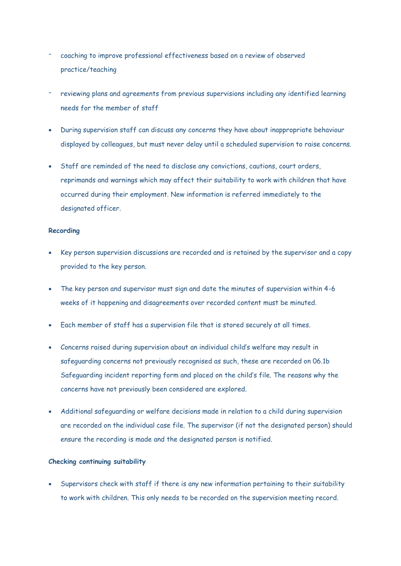- coaching to improve professional effectiveness based on a review of observed practice/teaching
- reviewing plans and agreements from previous supervisions including any identified learning needs for the member of staff
- During supervision staff can discuss any concerns they have about inappropriate behaviour displayed by colleagues, but must never delay until a scheduled supervision to raise concerns.
- Staff are reminded of the need to disclose any convictions, cautions, court orders, reprimands and warnings which may affect their suitability to work with children that have occurred during their employment. New information is referred immediately to the designated officer.

#### **Recording**

- Key person supervision discussions are recorded and is retained by the supervisor and a copy provided to the key person.
- The key person and supervisor must sign and date the minutes of supervision within 4-6 weeks of it happening and disagreements over recorded content must be minuted.
- Each member of staff has a supervision file that is stored securely at all times.
- Concerns raised during supervision about an individual child's welfare may result in safeguarding concerns not previously recognised as such, these are recorded on 06.1b Safeguarding incident reporting form and placed on the child's file. The reasons why the concerns have not previously been considered are explored.
- Additional safeguarding or welfare decisions made in relation to a child during supervision are recorded on the individual case file. The supervisor (if not the designated person) should ensure the recording is made and the designated person is notified.

# **Checking continuing suitability**

 Supervisors check with staff if there is any new information pertaining to their suitability to work with children. This only needs to be recorded on the supervision meeting record.